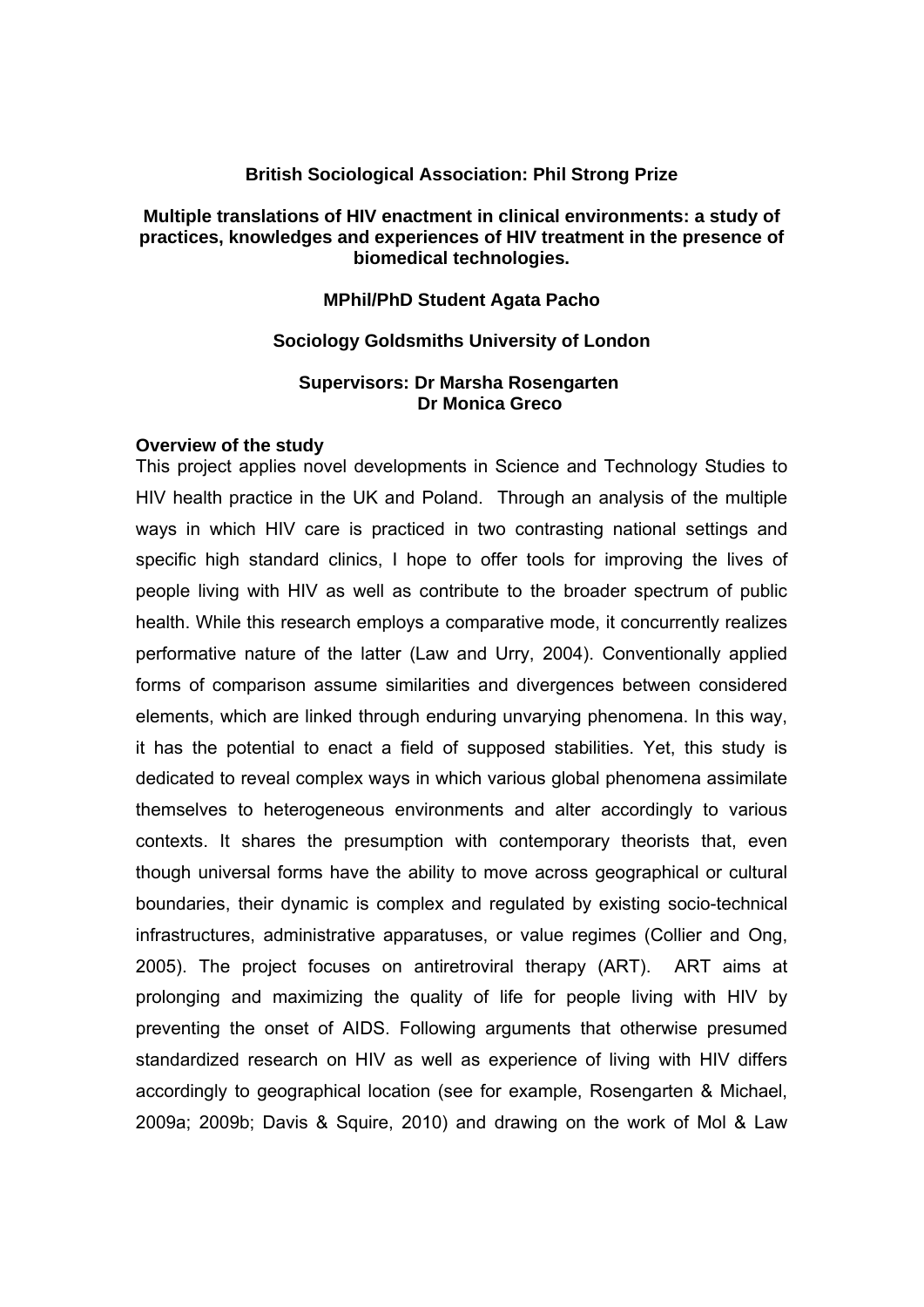### **British Sociological Association: Phil Strong Prize**

## **Multiple translations of HIV enactment in clinical environments: a study of practices, knowledges and experiences of HIV treatment in the presence of biomedical technologies.**

### **MPhil/PhD Student Agata Pacho**

### **Sociology Goldsmiths University of London**

### **Supervisors: Dr Marsha Rosengarten Dr Monica Greco**

#### **Overview of the study**

This project applies novel developments in Science and Technology Studies to HIV health practice in the UK and Poland. Through an analysis of the multiple ways in which HIV care is practiced in two contrasting national settings and specific high standard clinics, I hope to offer tools for improving the lives of people living with HIV as well as contribute to the broader spectrum of public health. While this research employs a comparative mode, it concurrently realizes performative nature of the latter (Law and Urry, 2004). Conventionally applied forms of comparison assume similarities and divergences between considered elements, which are linked through enduring unvarying phenomena. In this way, it has the potential to enact a field of supposed stabilities. Yet, this study is dedicated to reveal complex ways in which various global phenomena assimilate themselves to heterogeneous environments and alter accordingly to various contexts. It shares the presumption with contemporary theorists that, even though universal forms have the ability to move across geographical or cultural boundaries, their dynamic is complex and regulated by existing socio-technical infrastructures, administrative apparatuses, or value regimes (Collier and Ong, 2005). The project focuses on antiretroviral therapy (ART). ART aims at prolonging and maximizing the quality of life for people living with HIV by preventing the onset of AIDS. Following arguments that otherwise presumed standardized research on HIV as well as experience of living with HIV differs accordingly to geographical location (see for example, Rosengarten & Michael, 2009a; 2009b; Davis & Squire, 2010) and drawing on the work of Mol & Law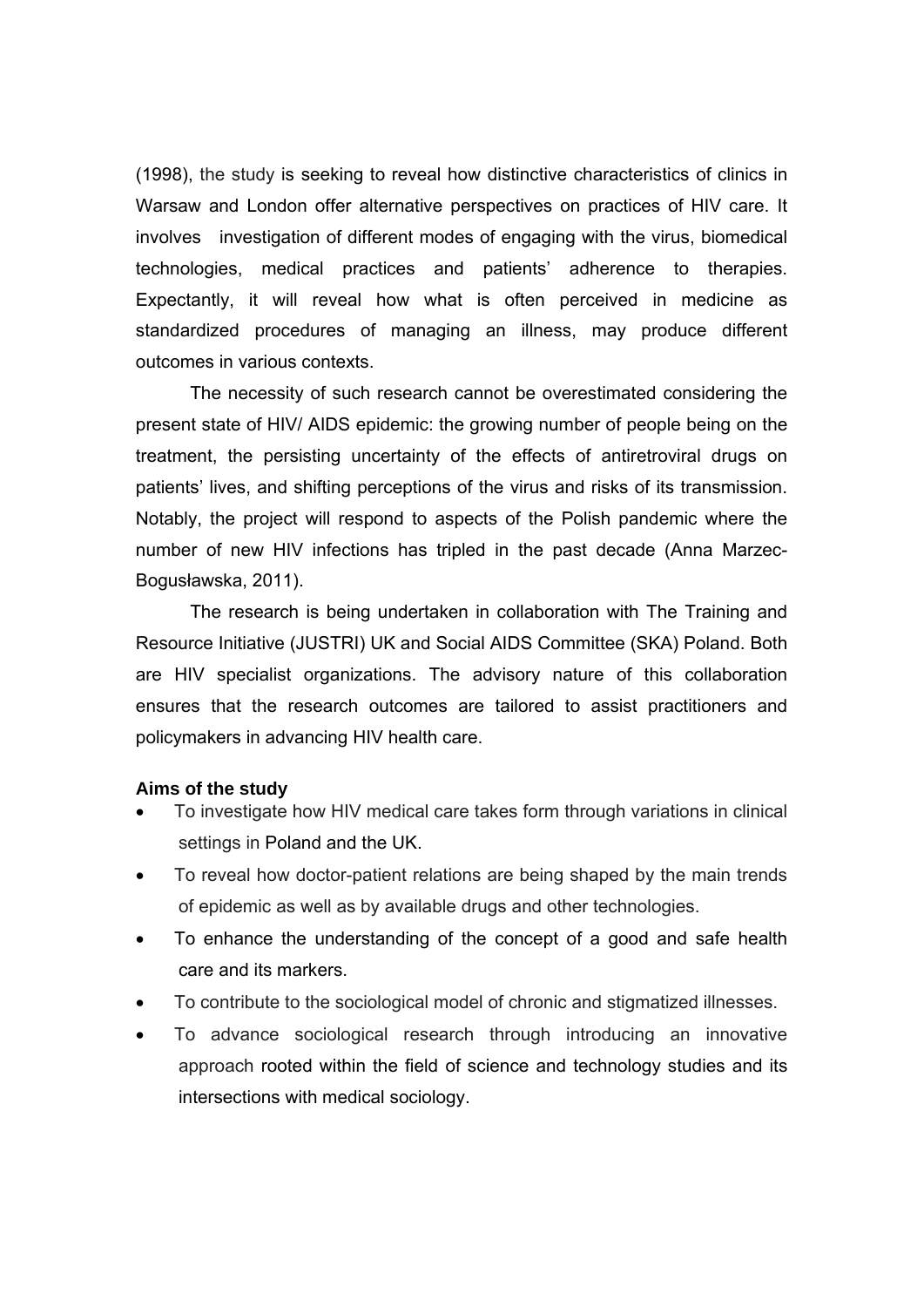(1998), the study is seeking to reveal how distinctive characteristics of clinics in Warsaw and London offer alternative perspectives on practices of HIV care. It involves investigation of different modes of engaging with the virus, biomedical technologies, medical practices and patients' adherence to therapies. Expectantly, it will reveal how what is often perceived in medicine as standardized procedures of managing an illness, may produce different outcomes in various contexts.

The necessity of such research cannot be overestimated considering the present state of HIV/ AIDS epidemic: the growing number of people being on the treatment, the persisting uncertainty of the effects of antiretroviral drugs on patients' lives, and shifting perceptions of the virus and risks of its transmission. Notably, the project will respond to aspects of the Polish pandemic where the number of new HIV infections has tripled in the past decade (Anna Marzec-Bogusławska, 2011).

The research is being undertaken in collaboration with The Training and Resource Initiative (JUSTRI) UK and Social AIDS Committee (SKA) Poland. Both are HIV specialist organizations. The advisory nature of this collaboration ensures that the research outcomes are tailored to assist practitioners and policymakers in advancing HIV health care.

## **Aims of the study**

- To investigate how HIV medical care takes form through variations in clinical settings in Poland and the UK.
- To reveal how doctor-patient relations are being shaped by the main trends of epidemic as well as by available drugs and other technologies.
- To enhance the understanding of the concept of a good and safe health care and its markers.
- To contribute to the sociological model of chronic and stigmatized illnesses.
- To advance sociological research through introducing an innovative approach rooted within the field of science and technology studies and its intersections with medical sociology.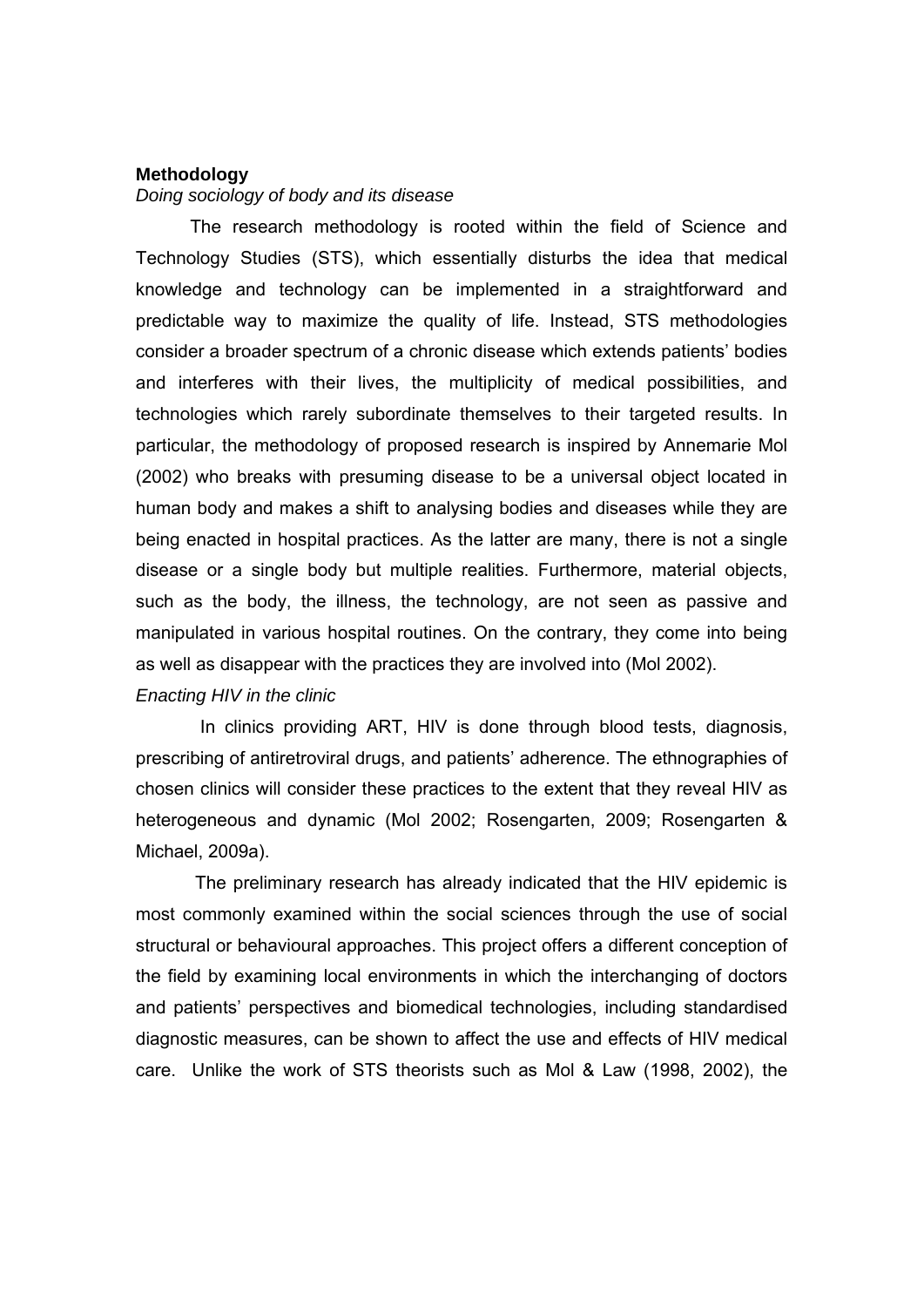#### **Methodology**

# *Doing sociology of body and its disease*

 The research methodology is rooted within the field of Science and Technology Studies (STS), which essentially disturbs the idea that medical knowledge and technology can be implemented in a straightforward and predictable way to maximize the quality of life. Instead, STS methodologies consider a broader spectrum of a chronic disease which extends patients' bodies and interferes with their lives, the multiplicity of medical possibilities, and technologies which rarely subordinate themselves to their targeted results. In particular, the methodology of proposed research is inspired by Annemarie Mol (2002) who breaks with presuming disease to be a universal object located in human body and makes a shift to analysing bodies and diseases while they are being enacted in hospital practices. As the latter are many, there is not a single disease or a single body but multiple realities. Furthermore, material objects, such as the body, the illness, the technology, are not seen as passive and manipulated in various hospital routines. On the contrary, they come into being as well as disappear with the practices they are involved into (Mol 2002).

## *Enacting HIV in the clinic*

 In clinics providing ART, HIV is done through blood tests, diagnosis, prescribing of antiretroviral drugs, and patients' adherence. The ethnographies of chosen clinics will consider these practices to the extent that they reveal HIV as heterogeneous and dynamic (Mol 2002; Rosengarten, 2009; Rosengarten & Michael, 2009a).

 The preliminary research has already indicated that the HIV epidemic is most commonly examined within the social sciences through the use of social structural or behavioural approaches. This project offers a different conception of the field by examining local environments in which the interchanging of doctors and patients' perspectives and biomedical technologies, including standardised diagnostic measures, can be shown to affect the use and effects of HIV medical care. Unlike the work of STS theorists such as Mol & Law (1998, 2002), the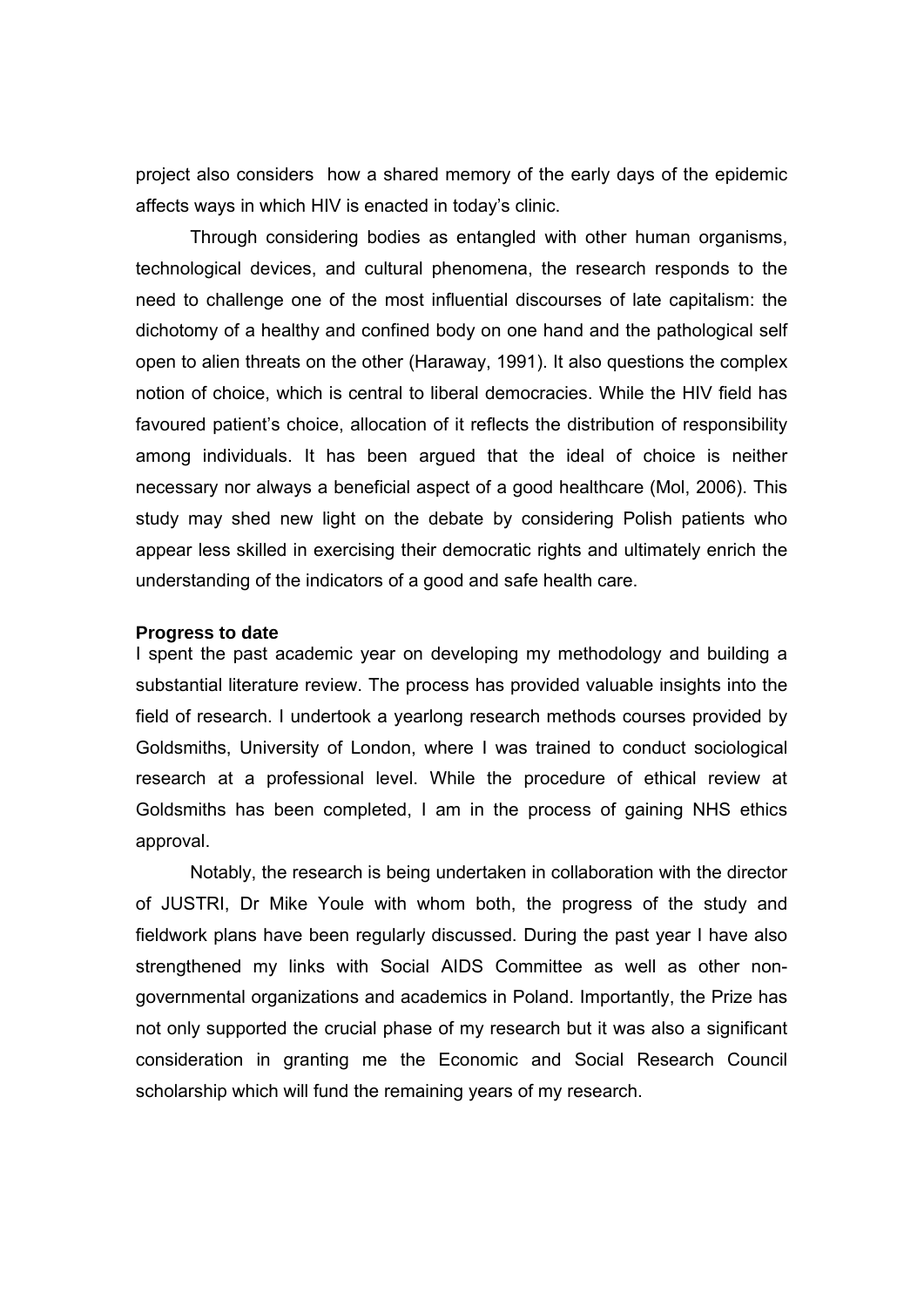project also considers how a shared memory of the early days of the epidemic affects ways in which HIV is enacted in today's clinic.

Through considering bodies as entangled with other human organisms, technological devices, and cultural phenomena, the research responds to the need to challenge one of the most influential discourses of late capitalism: the dichotomy of a healthy and confined body on one hand and the pathological self open to alien threats on the other (Haraway, 1991). It also questions the complex notion of choice, which is central to liberal democracies. While the HIV field has favoured patient's choice, allocation of it reflects the distribution of responsibility among individuals. It has been argued that the ideal of choice is neither necessary nor always a beneficial aspect of a good healthcare (Mol, 2006). This study may shed new light on the debate by considering Polish patients who appear less skilled in exercising their democratic rights and ultimately enrich the understanding of the indicators of a good and safe health care.

#### **Progress to date**

I spent the past academic year on developing my methodology and building a substantial literature review. The process has provided valuable insights into the field of research. I undertook a yearlong research methods courses provided by Goldsmiths, University of London, where I was trained to conduct sociological research at a professional level. While the procedure of ethical review at Goldsmiths has been completed, I am in the process of gaining NHS ethics approval.

Notably, the research is being undertaken in collaboration with the director of JUSTRI, Dr Mike Youle with whom both, the progress of the study and fieldwork plans have been regularly discussed. During the past year I have also strengthened my links with Social AIDS Committee as well as other nongovernmental organizations and academics in Poland. Importantly, the Prize has not only supported the crucial phase of my research but it was also a significant consideration in granting me the Economic and Social Research Council scholarship which will fund the remaining years of my research.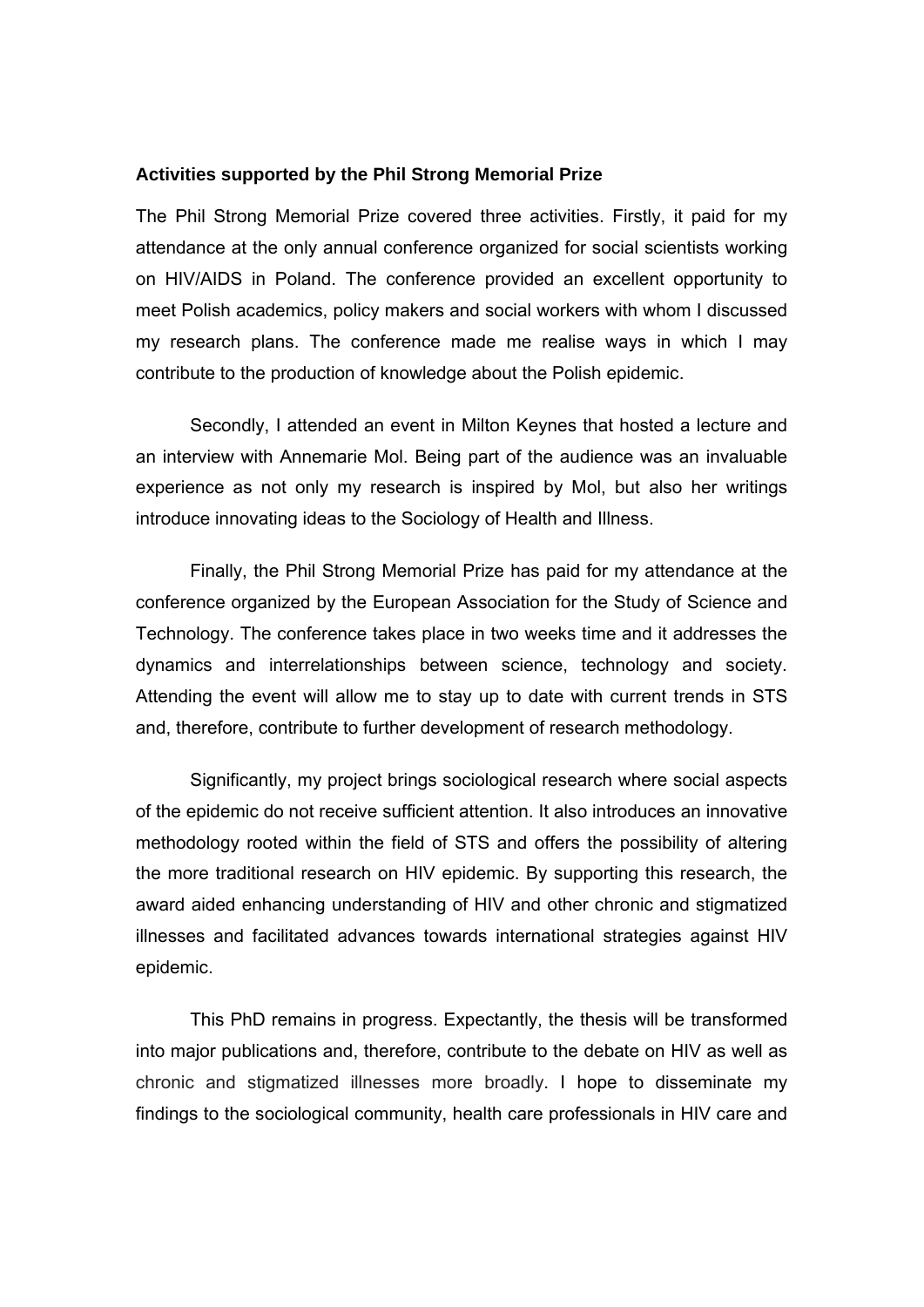### **Activities supported by the Phil Strong Memorial Prize**

The Phil Strong Memorial Prize covered three activities. Firstly, it paid for my attendance at the only annual conference organized for social scientists working on HIV/AIDS in Poland. The conference provided an excellent opportunity to meet Polish academics, policy makers and social workers with whom I discussed my research plans. The conference made me realise ways in which I may contribute to the production of knowledge about the Polish epidemic.

Secondly, I attended an event in Milton Keynes that hosted a lecture and an interview with Annemarie Mol. Being part of the audience was an invaluable experience as not only my research is inspired by Mol, but also her writings introduce innovating ideas to the Sociology of Health and Illness.

Finally, the Phil Strong Memorial Prize has paid for my attendance at the conference organized by the European Association for the Study of Science and Technology. The conference takes place in two weeks time and it addresses the dynamics and interrelationships between science, technology and society. Attending the event will allow me to stay up to date with current trends in STS and, therefore, contribute to further development of research methodology.

Significantly, my project brings sociological research where social aspects of the epidemic do not receive sufficient attention. It also introduces an innovative methodology rooted within the field of STS and offers the possibility of altering the more traditional research on HIV epidemic. By supporting this research, the award aided enhancing understanding of HIV and other chronic and stigmatized illnesses and facilitated advances towards international strategies against HIV epidemic.

This PhD remains in progress. Expectantly, the thesis will be transformed into major publications and, therefore, contribute to the debate on HIV as well as chronic and stigmatized illnesses more broadly. I hope to disseminate my findings to the sociological community, health care professionals in HIV care and